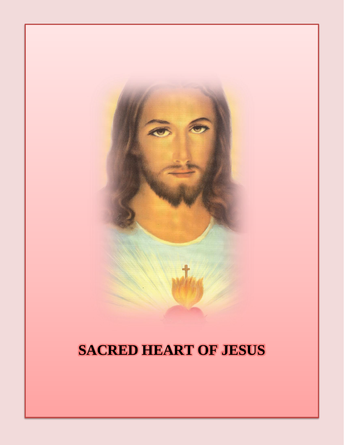# **SACRED HEART OF JESUS**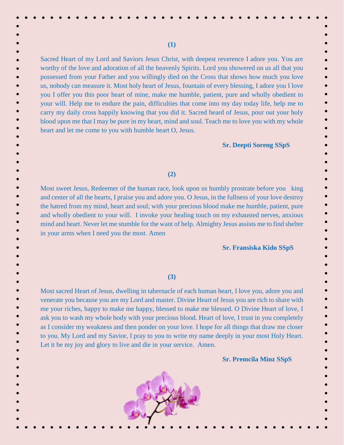Sacred Heart of my Lord and Saviors Jesus Christ, with deepest reverence I adore you. You are worthy of the love and adoration of all the heavenly Spirits. Lord you showered on us all that you possessed from your Father and you willingly died on the Cross that shows how much you love us, nobody can measure it. Most holy heart of Jesus, fountain of every blessing, I adore you I love you I offer you this poor heart of mine, make me humble, patient, pure and wholly obedient to your will. Help me to endure the pain, difficulties that come into my day today life, help me to carry my daily cross happily knowing that you did it. Sacred heard of Jesus, pour out your holy blood upon me that I may be pure in my heart, mind and soul. Teach me to love you with my whole heart and let me come to you with humble heart O, Jesus.

**(1)**

## **Sr. Deepti Soreng SSpS**

 $\bullet$ 

## **(2)**

Most sweet Jesus, Redeemer of the human race, look upon us humbly prostrate before you king and center of all the hearts, I praise you and adore you. O Jesus, in the fullness of your love destroy the hatred from my mind, heart and soul; with your precious blood make me humble, patient, pure and wholly obedient to your will. I invoke your healing touch on my exhausted nerves, anxious mind and heart. Never let me stumble for the want of help. Almighty Jesus assists me to find shelter in your arms when I need you the most. Amen

## **Sr. Fransiska Kido SSpS**

**Sr. Premcila Minz SSpS**

## **(3)**

Most sacred Heart of Jesus, dwelling in tabernacle of each human heart, I love you, adore you and venerate you because you are my Lord and master. Divine Heart of Jesus you are rich to share with me your riches, happy to make me happy, blessed to make me blessed. O Divine Heart of love, I ask you to wash my whole body with your precious blood. Heart of love, I trust in you completely as I consider my weakness and then ponder on your love. I hope for all things that draw me closer to you. My Lord and my Savior, I pray to you to write my name deeply in your most Holy Heart. Let it be my joy and glory to live and die in your service. Amen.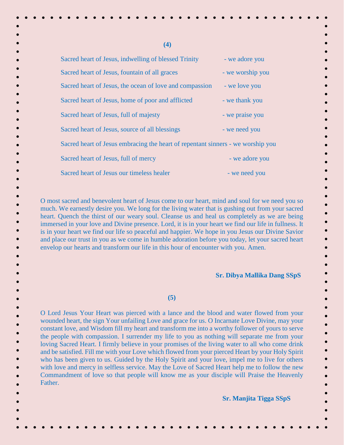| (4)                                                                                                                                                                                                                                                                                                                                                                                                                                                                                                                                                                                                                                                                                                            |                  |
|----------------------------------------------------------------------------------------------------------------------------------------------------------------------------------------------------------------------------------------------------------------------------------------------------------------------------------------------------------------------------------------------------------------------------------------------------------------------------------------------------------------------------------------------------------------------------------------------------------------------------------------------------------------------------------------------------------------|------------------|
| Sacred heart of Jesus, indwelling of blessed Trinity                                                                                                                                                                                                                                                                                                                                                                                                                                                                                                                                                                                                                                                           | - we adore you   |
| Sacred heart of Jesus, fountain of all graces                                                                                                                                                                                                                                                                                                                                                                                                                                                                                                                                                                                                                                                                  | - we worship you |
| Sacred heart of Jesus, the ocean of love and compassion                                                                                                                                                                                                                                                                                                                                                                                                                                                                                                                                                                                                                                                        | - we love you    |
| Sacred heart of Jesus, home of poor and afflicted                                                                                                                                                                                                                                                                                                                                                                                                                                                                                                                                                                                                                                                              | - we thank you   |
| Sacred heart of Jesus, full of majesty                                                                                                                                                                                                                                                                                                                                                                                                                                                                                                                                                                                                                                                                         | - we praise you  |
| Sacred heart of Jesus, source of all blessings                                                                                                                                                                                                                                                                                                                                                                                                                                                                                                                                                                                                                                                                 | - we need you    |
| Sacred heart of Jesus embracing the heart of repentant sinners - we worship you                                                                                                                                                                                                                                                                                                                                                                                                                                                                                                                                                                                                                                |                  |
| Sacred heart of Jesus, full of mercy                                                                                                                                                                                                                                                                                                                                                                                                                                                                                                                                                                                                                                                                           | - we adore you   |
| Sacred heart of Jesus our timeless healer                                                                                                                                                                                                                                                                                                                                                                                                                                                                                                                                                                                                                                                                      | - we need you    |
| O most sacred and benevolent heart of Jesus come to our heart, mind and soul for we need you so<br>much. We earnestly desire you. We long for the living water that is gushing out from your sacred<br>heart. Quench the thirst of our weary soul. Cleanse us and heal us completely as we are being<br>immersed in your love and Divine presence. Lord, it is in your heart we find our life in fullness. It<br>is in your heart we find our life so peaceful and happier. We hope in you Jesus our Divine Savior<br>and place our trust in you as we come in humble adoration before you today, let your sacred heart<br>envelop our hearts and transform our life in this hour of encounter with you. Amen. |                  |

 **Sr. Dibya Mallika Dang SSpS**

 $\bullet$ 

#### **(5)**

O Lord Jesus Your Heart was pierced with a lance and the blood and water flowed from your wounded heart, the sign Your unfailing Love and grace for us. O Incarnate Love Divine, may your constant love, and Wisdom fill my heart and transform me into a worthy follower of yours to serve the people with compassion. I surrender my life to you as nothing will separate me from your loving Sacred Heart. I firmly believe in your promises of the living water to all who come drink and be satisfied. Fill me with your Love which flowed from your pierced Heart by your Holy Spirit who has been given to us. Guided by the Holy Spirit and your love, impel me to live for others with love and mercy in selfless service. May the Love of Sacred Heart help me to follow the new Commandment of love so that people will know me as your disciple will Praise the Heavenly Father.

**Sr. Manjita Tigga SSpS**